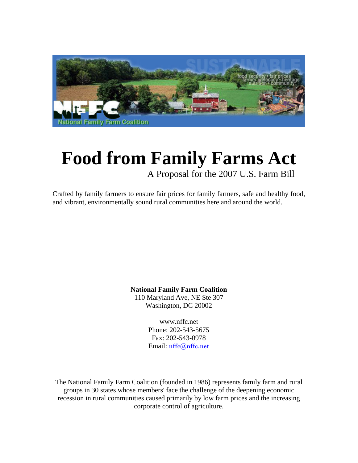

# **Food from Family Farms Act** A Proposal for the 2007 U.S. Farm Bill

Crafted by family farmers to ensure fair prices for family farmers, safe and healthy food, and vibrant, environmentally sound rural communities here and around the world.

> **National Family Farm Coalition**  110 Maryland Ave, NE Ste 307

Washington, DC 20002

www.nffc.net Phone: 202-543-5675 Fax: 202-543-0978 Email: nffc@nffc.net

The National Family Farm Coalition (founded in 1986) represents family farm and rural groups in 30 states whose members' face the challenge of the deepening economic recession in rural communities caused primarily by low farm prices and the increasing corporate control of agriculture.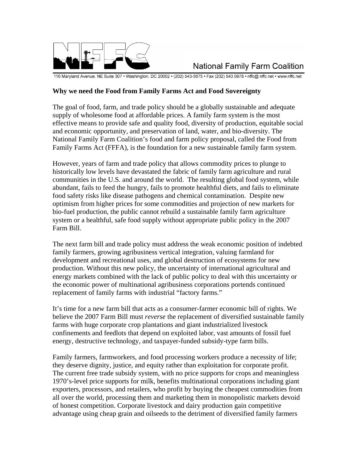

## **National Family Farm Coalition**

110 Maryland Avenue, NE Suite 307 · Washington, DC 20002 · (202) 543-5675 · Fax (202) 543 0978 · nffc@ nffc.net · www.nffc.net

#### **Why we need the Food from Family Farms Act and Food Sovereignty**

The goal of food, farm, and trade policy should be a globally sustainable and adequate supply of wholesome food at affordable prices. A family farm system is the most effective means to provide safe and quality food, diversity of production, equitable social and economic opportunity, and preservation of land, water, and bio-diversity. The National Family Farm Coalition's food and farm policy proposal, called the Food from Family Farms Act (FFFA), is the foundation for a new sustainable family farm system.

However, years of farm and trade policy that allows commodity prices to plunge to historically low levels have devastated the fabric of family farm agriculture and rural communities in the U.S. and around the world. The resulting global food system, while abundant, fails to feed the hungry, fails to promote healthful diets, and fails to eliminate food safety risks like disease pathogens and chemical contamination. Despite new optimism from higher prices for some commodities and projection of new markets for bio-fuel production, the public cannot rebuild a sustainable family farm agriculture system or a healthful, safe food supply without appropriate public policy in the 2007 Farm Bill.

The next farm bill and trade policy must address the weak economic position of indebted family farmers, growing agribusiness vertical integration, valuing farmland for development and recreational uses, and global destruction of ecosystems for new production. Without this new policy, the uncertainty of international agricultural and energy markets combined with the lack of public policy to deal with this uncertainty or the economic power of multinational agribusiness corporations portends continued replacement of family farms with industrial "factory farms."

It's time for a new farm bill that acts as a consumer-farmer economic bill of rights. We believe the 2007 Farm Bill must *reverse* the replacement of diversified sustainable family farms with huge corporate crop plantations and giant industrialized livestock confinements and feedlots that depend on exploited labor, vast amounts of fossil fuel energy, destructive technology, and taxpayer-funded subsidy-type farm bills.

Family farmers, farmworkers, and food processing workers produce a necessity of life; they deserve dignity, justice, and equity rather than exploitation for corporate profit. The current free trade subsidy system, with no price supports for crops and meaningless 1970's-level price supports for milk, benefits multinational corporations including giant exporters, processors, and retailers, who profit by buying the cheapest commodities from all over the world, processing them and marketing them in monopolistic markets devoid of honest competition. Corporate livestock and dairy production gain competitive advantage using cheap grain and oilseeds to the detriment of diversified family farmers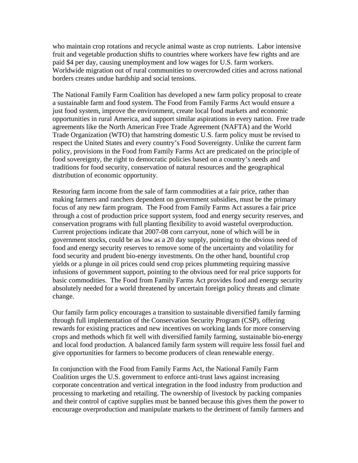who maintain crop rotations and recycle animal waste as crop nutrients. Labor intensive fruit and vegetable production shifts to countries where workers have few rights and are paid \$4 per day, causing unemployment and low wages for U.S. farm workers. Worldwide migration out of rural communities to overcrowded cities and across national borders creates undue hardship and social tensions.

The National Family Farm Coalition has developed a new farm policy proposal to create a sustainable farm and food system. The Food from Family Farms Act would ensure a just food system, improve the environment, create local food markets and economic opportunities in rural America, and support similar aspirations in every nation. Free trade agreements like the North American Free Trade Agreement (NAFTA) and the World Trade Organization (WTO) that hamstring domestic U.S. farm policy must be revised to respect the United States and every country's Food Sovereignty. Unlike the current farm policy, provisions in the Food from Family Farms Act are predicated on the principle of food sovereignty, the right to democratic policies based on a country's needs and traditions for food security, conservation of natural resources and the geographical distribution of economic opportunity.

Restoring farm income from the sale of farm commodities at a fair price, rather than making farmers and ranchers dependent on government subsidies, must be the primary focus of any new farm program. The Food from Family Farms Act assures a fair price through a cost of production price support system, food and energy security reserves, and conservation programs with full planting flexibility to avoid wasteful overproduction. Current projections indicate that 2007-08 corn carryout, none of which will be in government stocks, could be as low as a 20 day supply, pointing to the obvious need of food and energy security reserves to remove some of the uncertainty and volatility for food security and prudent bio-energy investments. On the other hand, bountiful crop yields or a plunge in oil prices could send crop prices plummeting requiring massive infusions of government support, pointing to the obvious need for real price supports for basic commodities. The Food from Family Farms Act provides food and energy security absolutely needed for a world threatened by uncertain foreign policy threats and climate change.

Our family farm policy encourages a transition to sustainable diversified family farming through full implementation of the Conservation Security Program (CSP), offering rewards for existing practices and new incentives on working lands for more conserving crops and methods which fit well with diversified family farming, sustainable bio-energy and local food production. A balanced family farm system will require less fossil fuel and give opportunities for farmers to become producers of clean renewable energy.

In conjunction with the Food from Family Farms Act, the National Family Farm Coalition urges the U.S. government to enforce anti-trust laws against increasing corporate concentration and vertical integration in the food industry from production and processing to marketing and retailing. The ownership of livestock by packing companies and their control of captive supplies must be banned because this gives them the power to encourage overproduction and manipulate markets to the detriment of family farmers and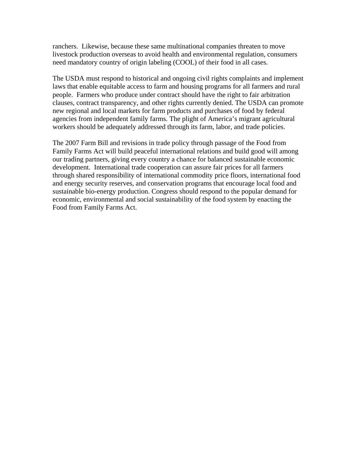ranchers. Likewise, because these same multinational companies threaten to move livestock production overseas to avoid health and environmental regulation, consumers need mandatory country of origin labeling (COOL) of their food in all cases.

The USDA must respond to historical and ongoing civil rights complaints and implement laws that enable equitable access to farm and housing programs for all farmers and rural people. Farmers who produce under contract should have the right to fair arbitration clauses, contract transparency, and other rights currently denied. The USDA can promote new regional and local markets for farm products and purchases of food by federal agencies from independent family farms. The plight of America's migrant agricultural workers should be adequately addressed through its farm, labor, and trade policies.

The 2007 Farm Bill and revisions in trade policy through passage of the Food from Family Farms Act will build peaceful international relations and build good will among our trading partners, giving every country a chance for balanced sustainable economic development. International trade cooperation can assure fair prices for all farmers through shared responsibility of international commodity price floors, international food and energy security reserves, and conservation programs that encourage local food and sustainable bio-energy production. Congress should respond to the popular demand for economic, environmental and social sustainability of the food system by enacting the Food from Family Farms Act.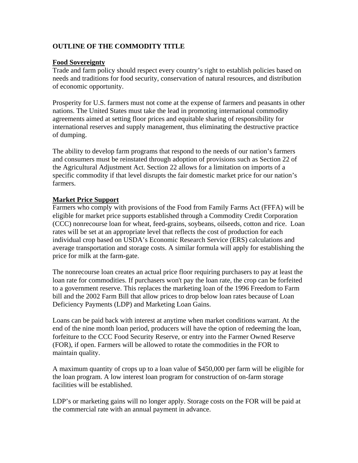## **OUTLINE OF THE COMMODITY TITLE**

#### **Food Sovereignty**

Trade and farm policy should respect every country's right to establish policies based on needs and traditions for food security, conservation of natural resources, and distribution of economic opportunity.

Prosperity for U.S. farmers must not come at the expense of farmers and peasants in other nations. The United States must take the lead in promoting international commodity agreements aimed at setting floor prices and equitable sharing of responsibility for international reserves and supply management, thus eliminating the destructive practice of dumping.

The ability to develop farm programs that respond to the needs of our nation's farmers and consumers must be reinstated through adoption of provisions such as Section 22 of the Agricultural Adjustment Act. Section 22 allows for a limitation on imports of a specific commodity if that level disrupts the fair domestic market price for our nation's farmers.

## **Market Price Support**

Farmers who comply with provisions of the Food from Family Farms Act (FFFA) will be eligible for market price supports established through a Commodity Credit Corporation (CCC) nonrecourse loan for wheat, feed-grains, soybeans, oilseeds, cotton and rice. Loan rates will be set at an appropriate level that reflects the cost of production for each individual crop based on USDA's Economic Research Service (ERS) calculations and average transportation and storage costs. A similar formula will apply for establishing the price for milk at the farm-gate.

The nonrecourse loan creates an actual price floor requiring purchasers to pay at least the loan rate for commodities. If purchasers won't pay the loan rate, the crop can be forfeited to a government reserve. This replaces the marketing loan of the 1996 Freedom to Farm bill and the 2002 Farm Bill that allow prices to drop below loan rates because of Loan Deficiency Payments (LDP) and Marketing Loan Gains.

Loans can be paid back with interest at anytime when market conditions warrant. At the end of the nine month loan period, producers will have the option of redeeming the loan, forfeiture to the CCC Food Security Reserve, or entry into the Farmer Owned Reserve (FOR), if open. Farmers will be allowed to rotate the commodities in the FOR to maintain quality.

A maximum quantity of crops up to a loan value of \$450,000 per farm will be eligible for the loan program. A low interest loan program for construction of on-farm storage facilities will be established.

LDP's or marketing gains will no longer apply. Storage costs on the FOR will be paid at the commercial rate with an annual payment in advance.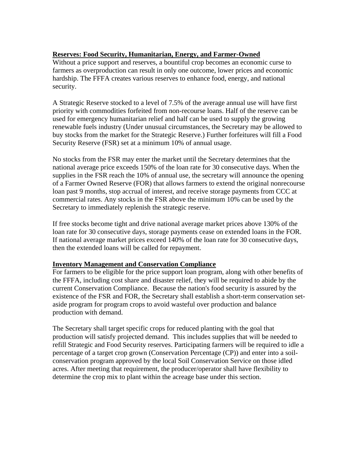## **Reserves: Food Security, Humanitarian, Energy, and Farmer-Owned**

Without a price support and reserves, a bountiful crop becomes an economic curse to farmers as overproduction can result in only one outcome, lower prices and economic hardship. The FFFA creates various reserves to enhance food, energy, and national security.

A Strategic Reserve stocked to a level of 7.5% of the average annual use will have first priority with commodities forfeited from non-recourse loans. Half of the reserve can be used for emergency humanitarian relief and half can be used to supply the growing renewable fuels industry (Under unusual circumstances, the Secretary may be allowed to buy stocks from the market for the Strategic Reserve.) Further forfeitures will fill a Food Security Reserve (FSR) set at a minimum 10% of annual usage.

No stocks from the FSR may enter the market until the Secretary determines that the national average price exceeds 150% of the loan rate for 30 consecutive days. When the supplies in the FSR reach the 10% of annual use, the secretary will announce the opening of a Farmer Owned Reserve (FOR) that allows farmers to extend the original nonrecourse loan past 9 months, stop accrual of interest, and receive storage payments from CCC at commercial rates. Any stocks in the FSR above the minimum 10% can be used by the Secretary to immediately replenish the strategic reserve.

If free stocks become tight and drive national average market prices above 130% of the loan rate for 30 consecutive days, storage payments cease on extended loans in the FOR. If national average market prices exceed 140% of the loan rate for 30 consecutive days, then the extended loans will be called for repayment.

#### **Inventory Management and Conservation Compliance**

For farmers to be eligible for the price support loan program, along with other benefits of the FFFA, including cost share and disaster relief, they will be required to abide by the current Conservation Compliance. Because the nation's food security is assured by the existence of the FSR and FOR, the Secretary shall establish a short-term conservation setaside program for program crops to avoid wasteful over production and balance production with demand.

The Secretary shall target specific crops for reduced planting with the goal that production will satisfy projected demand. This includes supplies that will be needed to refill Strategic and Food Security reserves. Participating farmers will be required to idle a percentage of a target crop grown (Conservation Percentage (CP)) and enter into a soilconservation program approved by the local Soil Conservation Service on those idled acres. After meeting that requirement, the producer/operator shall have flexibility to determine the crop mix to plant within the acreage base under this section.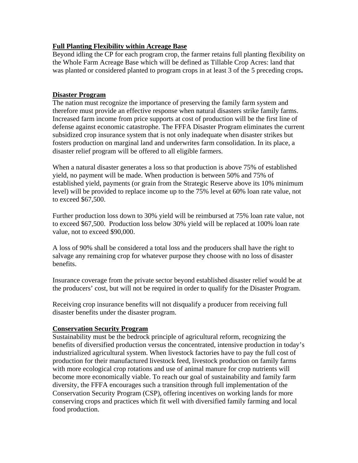## **Full Planting Flexibility within Acreage Base**

Beyond idling the CP for each program crop, the farmer retains full planting flexibility on the Whole Farm Acreage Base which will be defined as Tillable Crop Acres: land that was planted or considered planted to program crops in at least 3 of the 5 preceding crops**.** 

## **Disaster Program**

The nation must recognize the importance of preserving the family farm system and therefore must provide an effective response when natural disasters strike family farms. Increased farm income from price supports at cost of production will be the first line of defense against economic catastrophe. The FFFA Disaster Program eliminates the current subsidized crop insurance system that is not only inadequate when disaster strikes but fosters production on marginal land and underwrites farm consolidation. In its place, a disaster relief program will be offered to all eligible farmers.

When a natural disaster generates a loss so that production is above 75% of established yield, no payment will be made. When production is between 50% and 75% of established yield, payments (or grain from the Strategic Reserve above its 10% minimum level) will be provided to replace income up to the 75% level at 60% loan rate value, not to exceed \$67,500.

Further production loss down to 30% yield will be reimbursed at 75% loan rate value, not to exceed \$67,500. Production loss below 30% yield will be replaced at 100% loan rate value, not to exceed \$90,000.

A loss of 90% shall be considered a total loss and the producers shall have the right to salvage any remaining crop for whatever purpose they choose with no loss of disaster benefits.

Insurance coverage from the private sector beyond established disaster relief would be at the producers' cost, but will not be required in order to qualify for the Disaster Program.

Receiving crop insurance benefits will not disqualify a producer from receiving full disaster benefits under the disaster program.

#### **Conservation Security Program**

Sustainability must be the bedrock principle of agricultural reform, recognizing the benefits of diversified production versus the concentrated, intensive production in today's industrialized agricultural system. When livestock factories have to pay the full cost of production for their manufactured livestock feed, livestock production on family farms with more ecological crop rotations and use of animal manure for crop nutrients will become more economically viable. To reach our goal of sustainability and family farm diversity, the FFFA encourages such a transition through full implementation of the Conservation Security Program (CSP), offering incentives on working lands for more conserving crops and practices which fit well with diversified family farming and local food production.